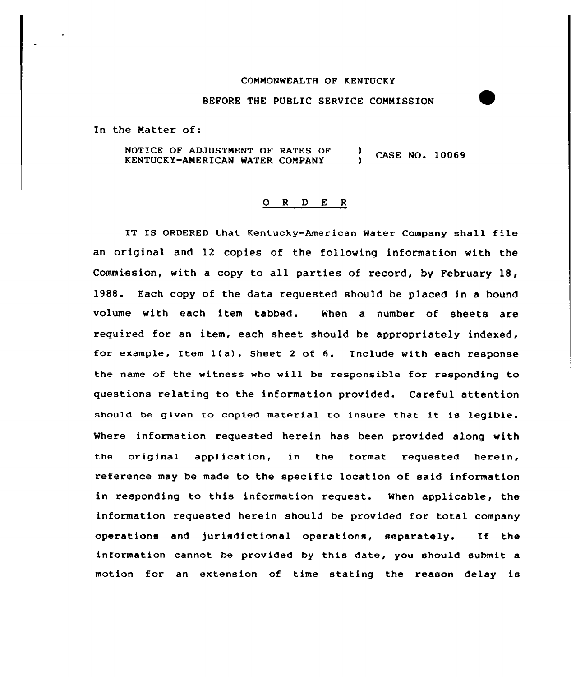## CONNONWEALTH OF KENTUCKY

## BEFORE THE PUBLIC SERVICE COMMISSION

In the Natter of:

NOTICE OF ADJUSTMENT OF RATES OF ) CASE NO. 10069 KENTUCKY-ANERICAN WATER COMPANY )

## 0 <sup>R</sup> <sup>D</sup> E <sup>R</sup>

IT IS ORDERED that Kentucky-American Water Company shall file an original and 12 copies of the following information with the Commission, with a copy to all parties of record, by February 18, 1988. Each copy of the data requested should be placed in a bound volume with each item tabbed. When a number of sheets are required for an item, each sheet should be appropriately indexed, for example, Item 1(a), Sheet <sup>2</sup> of 6. Include with each response the name of the witness who will be responsible for responding to questions relating to the information provided. Careful attention should be given to copied material to insure that it is legible. Where information requested herein has been provided along with the original application, in the format requested herein, reference may be made to the specific location of said information in responding to this information request. When applicable, the information requested herein should be provided for total company operations and jurisdictional operations, separately. If the information cannot be provided by this date, you should submit a motion for an extension of time stating the reason delay is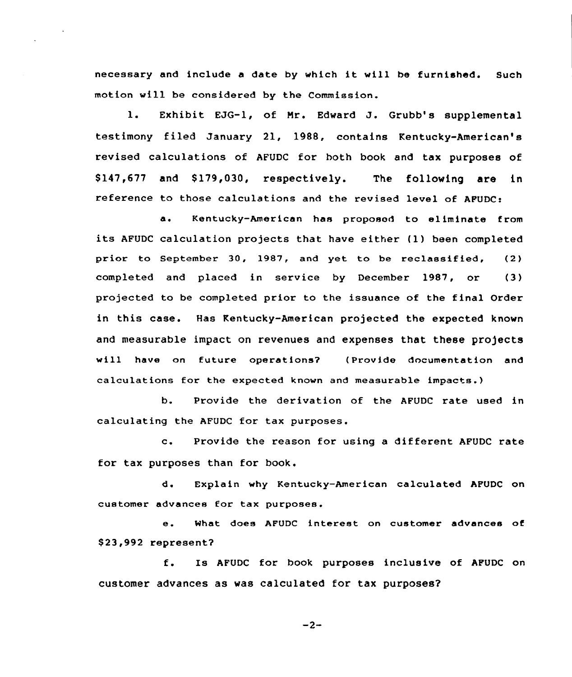necessary and include <sup>a</sup> date by which it will be furnished. Such motion will be considered by the Commission.

l. Exhibit EJG-1, of Mr. Edward J. Grubb's supplemental testimony filed January 21, 1988, contains Kentucky-American's revised calculations of AFUDC for both book and tax purposes of \$147,677 and \$179,030, respectively. The following are in reference to those calculations and the revised level of APUDC:

a. Kentucky-American has proposed to eliminate from its AFUDC calculation projects that have either (1) been completed prior to September 30, 1987, and yet to be reclassified, (2) completed and placed in service by December 1987, or (3) projected to be completed prior to the issuance of the final Order in this case. Has Kentucky-American projected the expected known and measurable impact on revenues and expenses that these projects will have an future operations? (Provide dncumentation and calculations far the expected known and measurable impacts.)

b. Provide the derivation of the AFUDC rate used in calculating the AFUDC for tax purposes.

c. Provide the reason for using <sup>a</sup> different AFUDC rate for tax purposes than for book.

d. Explain why Kentucky-American calculated AFUDC on customer advances for tax purposes.

e. What does AFUDC interest on customer advances of \$ 23,992 represent?

f. Is AFUDC for book purposes inclusive of AFUDC on customer advances as was calculated for tax purposes?

 $-2-$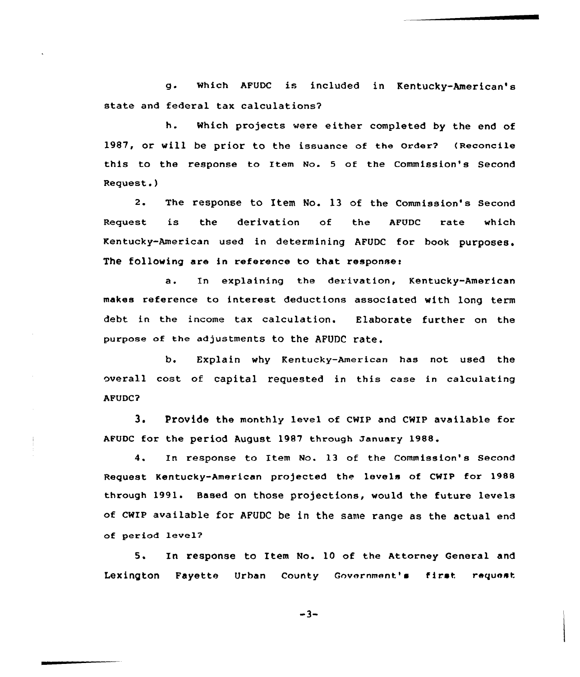g. which AFUDC is included in Kentucky-American's state and federal tax calculations?

h. Which projects vere either completed by the end of 1987, or will be prior to the issuance of the Order? (Reconcile this to the response to Item No. <sup>5</sup> of the Commission's Second Request.)

2. The response to Item No. 13 of the Commission's Second Request is the derivation of the AFUDC rate which Kentucky-American used in determining AFUDC for book purposes. The following are in reference to that responses

a. In explaining the derivation, Kentucky-American makes reference to interest deductions associated with long term debt in the income tax calculation. Elaborate further on the purpose of the adjustments to the AFUDC rate.

b. Explain why Kentucky-American has not used the overall cost of capital requested in this case in calculating AFUDC?

3. Provide the monthly level of cwIP and cwIP available for AFUDC for the period August 1987 through January 1988.

4. In response to Item No. 13 of the Commission's Second Request Kentucky-American projected the levels of CWIP for 1988 through 1991. Based on those projections, would the future levels of CWIP available for AFUDC be in the same range as the actual end of period levels

5. In response to Item No. 10 of the Attorney General and Lexington Fayette Urban County Government's first request

 $-3-$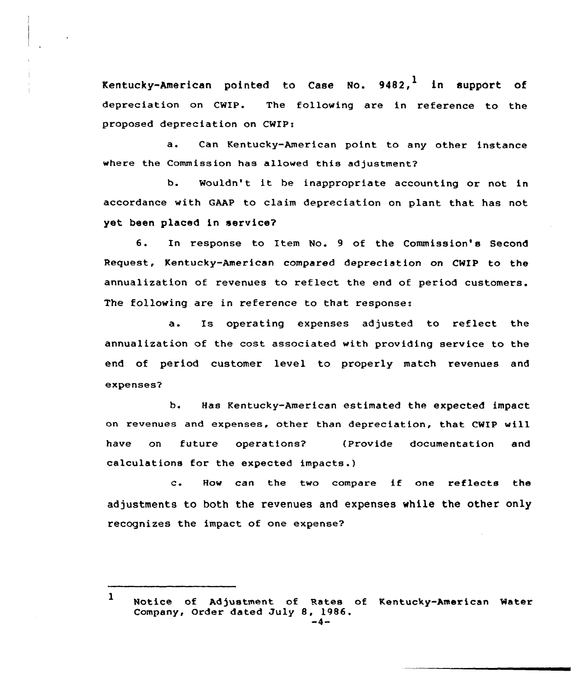Kentucky-American pointed to Case No.  $9482,$ <sup>1</sup> in support of depreciation on CWIP. The following are in reference to the proposed depreciation on CWIP!

a. Can Kentucky-American point to any other instance where the Commission has allowed this adjustment?

b. Wouldn't it be inappropriate accounting or not in accordance with GAAP to claim depreciation on plant that has not yet. been placed in service?

6. In response to Item No. <sup>9</sup> of the Commission's Second Request, Kentucky-American compared depreciation on CWIP to the annualization of revenues to reflect the end of period customers. The following are in reference to that response:

a. Is operating expenses adjusted to reflect the annualization of the cost associated with providing service to the end of period customer level to properly match revenues and expenses?

b. Has Kentucky-American estimated the expected impact on revenues and expenses, other than depreciation, that CWIP will have on future operations? (Provide documentation and calculations for the expected impacts.)

c. How can the two compare if one reflects the adjustments to both the revenues and expenses while the other only recognizes the impact of one expense?

<sup>1</sup> Notice of Adjustment of Rates of Kentucky-American Water Company, Order dated July 8, 1986.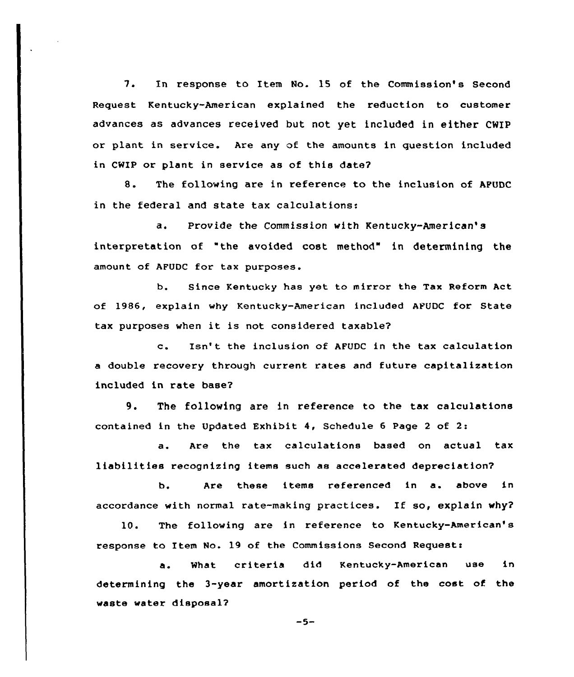7. In response ta Item No. 15 of the Commission's Second Request Kentucky-American explained the reduction to customer advances as advances received but not yet included in either CWIP or plant in service. Are any of the amounts in question included in CWIP or plant in service as of this date?

8. The fallowing are in reference to the inclusion of APUDC in the federal and state tax calculations:

a. Provide the Commission with Kentucky-American' interpretation of "the avoided cost method" in determining the amount of AFUDC for tax purposes.

b. Since Kentucky has yet to mirror the Tax Reform Act of 1986, explain why Kentucky-American included AFUDC for State tax purposes when it is not considered taxable?

c. Isn' the inclusion af AFUDC in the tax calculation a double recovery through current rates and future capitalization included in rate base?

9. The following are in reference to the tax calculations contained in the Updated Exhibit 4, Schedule <sup>6</sup> Page <sup>2</sup> of 2:

a. Are the tax calculations based on actual tax liabilities recognizing items such as accelerated depreciation?

b. Are these items referenced in a. above in accordance with normal rate-making practices. If so, explain why?

10. The following are in reference to Kentucky-American's response to Item No. 19 of the Commissions Second Request:

a. What criteria did Kentucky-American use in determining the 3-year amortization period of the cost of the waste water disposa12

 $-5-$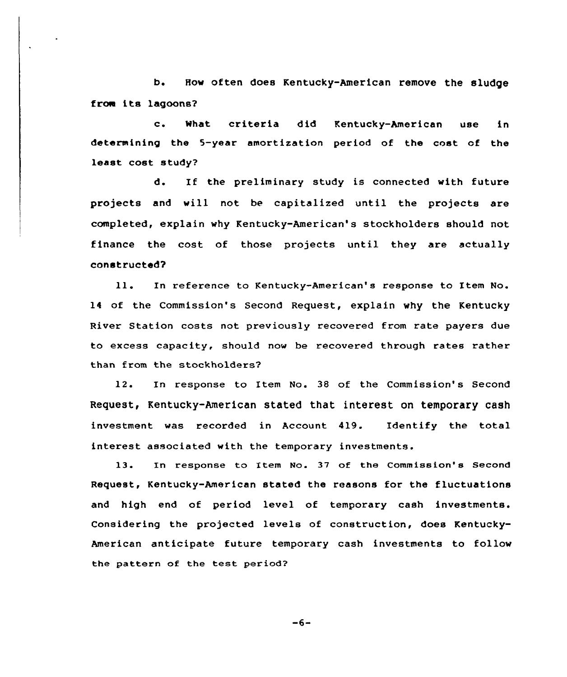b. How often does Kentucky-American remove the sludge from its lagoons2

c. What criteria did Kentucky-American use in determining the 5-year amortization period of the cost of the least cost study?

d. If the preliminary study is connected with future projects and will not be capitalized until the projects are completed, explain why Kentucky-American's stockholders should not finance the cost of those projects until they are actually constructed?

ll. In reference to Kentucky-American's response to Item No. 14 of the Commission's Second Request, explain why the Kentucky River Station costs not previously recovered from rate payers due to excess capacity, should now be recovered through rates rather than from the stockholders?

12. In response to Item No. 38 of the Commission's Second Request, Kentucky-American stated that interest on temporary cash investment was recorded in Account 419. Identify the total interest associated with the temporary investments.

13. In response to Item No. 37 of the Commission's Second Request, Kentucky-American stated the reasons for the fluctuations and high end of period level of temporary cash investments. Considering the projected levels of construction, does Kentucky-American anticipate future temporary cash investments to follow the pattern of the test period?

 $-6-$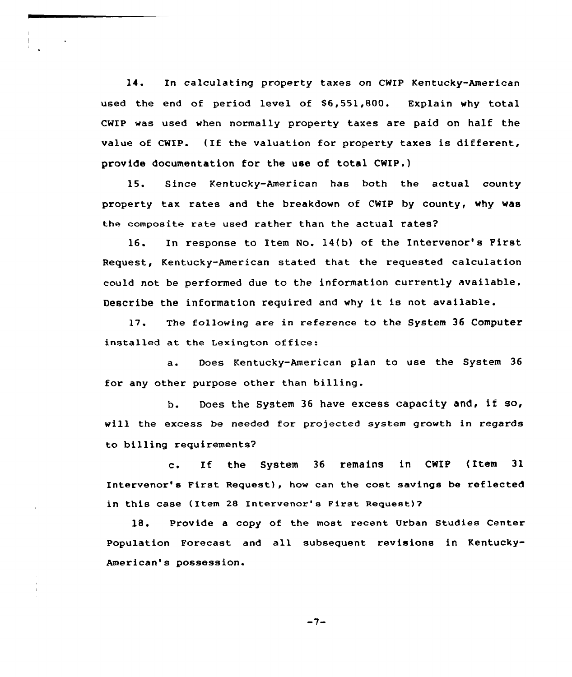14. In calculating property taxes on CWIP Kentucky-American used the end of period level of \$6,551,800. Explain why total CwIp was used when normally property taxes are paid on half the value of CWIP. (If the valuation for property taxes is different, provide documentation for the use of total CWIP.)

15. Since Kentucky-American has both the actual county property tax rates and the breakdown of CWIP by county, why was the composite rate used rather than the actual rates?

16. In response to Item No. 14(b) of the Intervenor's First Request, Kentucky-American stated that the requested calculation could not be performed due to the information currently available. Describe the information required and why it is not available.

17. The following are in reference to the System 36 Computer installed at the Lexington office:

a. Does Kentucky-American plan to use the System 36 for any other purpose other than billing.

b. Does the System <sup>36</sup> have excess capacity and, if so, will the excess be needed for projected system growth in regards to billing requirements?

c. If the System <sup>36</sup> remains in CWIP (Item <sup>31</sup> Intervenor's First Request), how can the cost savings be reflected in this case (Item 28 Intervenor's First Requeet)?

18. Provide <sup>a</sup> copy of the most recent Urban Studies Center Population Forecast and all subsequent revisions in Kentucky-American's possession.

 $-7-$